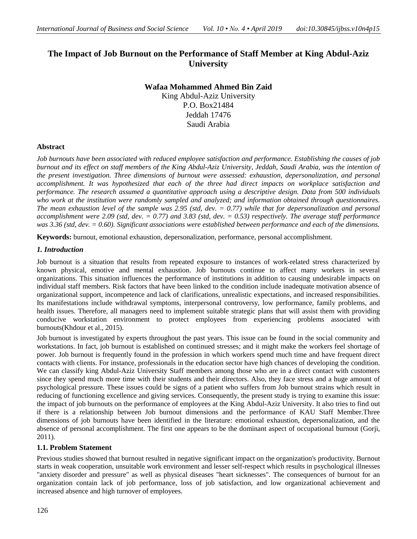# **The Impact of Job Burnout on the Performance of Staff Member at King Abdul-Aziz University**

# **Wafaa Mohammed Ahmed Bin Zaid**

King Abdul-Aziz University P.O. Box21484 Jeddah 17476 Saudi Arabia

# **Abstract**

*Job burnouts have been associated with reduced employee satisfaction and performance. Establishing the causes of job burnout and its effect on staff members of the King Abdul-Aziz University, Jeddah, Saudi Arabia, was the intention of the present investigation. Three dimensions of burnout were assessed: exhaustion, depersonalization, and personal accomplishment. It was hypothesized that each of the three had direct impacts on workplace satisfaction and performance. The research assumed a quantitative approach using a descriptive design. Data from 500 individuals who work at the institution were randomly sampled and analyzed; and information obtained through questionnaires. The mean exhaustion level of the sample was 2.95 (std, dev. = 0.77) while that for depersonalization and personal accomplishment were 2.09 (std, dev. = 0.77) and 3.83 (std, dev. = 0.53) respectively. The average staff performance was 3.36 (std, dev. = 0.60). Significant associations were established between performance and each of the dimensions.*

**Keywords:** burnout, emotional exhaustion, depersonalization, performance, personal accomplishment.

# *1. Introduction*

Job burnout is a situation that results from repeated exposure to instances of work-related stress characterized by known physical, emotive and mental exhaustion. Job burnouts continue to affect many workers in several organizations. This situation influences the performance of institutions in addition to causing undesirable impacts on individual staff members. Risk factors that have been linked to the condition include inadequate motivation absence of organizational support, incompetence and lack of clarifications, unrealistic expectations, and increased responsibilities. Its manifestations include withdrawal symptoms, interpersonal controversy, low performance, family problems, and health issues. Therefore, all managers need to implement suitable strategic plans that will assist them with providing conducive workstation environment to protect employees from experiencing problems associated with burnouts(Khdour et al., 2015).

Job burnout is investigated by experts throughout the past years. This issue can be found in the social community and workstations. In fact, job burnout is established on continued stresses; and it might make the workers feel shortage of power. Job burnout is frequently found in the profession in which workers spend much time and have frequent direct contacts with clients. For instance, professionals in the education sector have high chances of developing the condition. We can classify king Abdul-Aziz University Staff members among those who are in a direct contact with customers since they spend much more time with their students and their directors. Also, they face stress and a huge amount of psychological pressure. These issues could be signs of a patient who suffers from Job burnout strains which result in reducing of functioning excellence and giving services. Consequently, the present study is trying to examine this issue: the impact of job burnouts on the performance of employees at the King Abdul-Aziz University. It also tries to find out if there is a relationship between Job burnout dimensions and the performance of KAU Staff Member.Three dimensions of job burnouts have been identified in the literature: emotional exhaustion, depersonalization, and the absence of personal accomplishment. The first one appears to be the dominant aspect of occupational burnout (Gorji, 2011).

# **1.1. Problem Statement**

Previous studies showed that burnout resulted in negative significant impact on the organization's productivity. Burnout starts in weak cooperation, unsuitable work environment and lesser self-respect which results in psychological illnesses "anxiety disorder and pressure" as well as physical diseases "heart sicknesses". The consequences of burnout for an organization contain lack of job performance, loss of job satisfaction, and low organizational achievement and increased absence and high turnover of employees.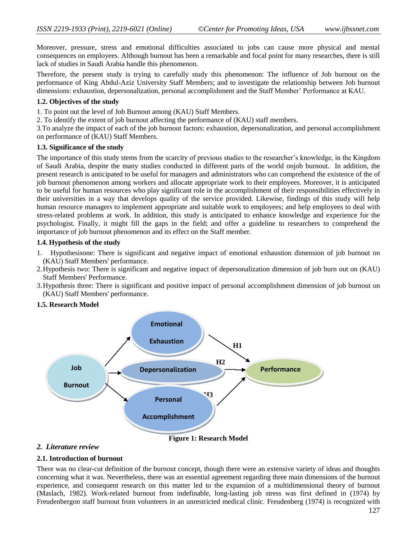Moreover, pressure, stress and emotional difficulties associated to jobs can cause more physical and mental consequences on employees. Although burnout has been a remarkable and focal point for many researches, there is still lack of studies in Saudi Arabia handle this phenomenon.

Therefore, the present study is trying to carefully study this phenomenon: The influence of Job burnout on the performance of King Abdul-Aziz University Staff Members; and to investigate the relationship between Job burnout dimensions: exhaustion, depersonalization, personal accomplishment and the Staff Member" Performance at KAU.

### **1.2. Objectives of the study**

1. To point out the level of Job Burnout among (KAU) Staff Members.

2. To identify the extent of job burnout affecting the performance of (KAU) staff members.

3.To analyze the impact of each of the job burnout factors: exhaustion, depersonalization, and personal accomplishment on performance of (KAU) Staff Members.

### **1.3. Significance of the study**

The importance of this study stems from the scarcity of previous studies to the researcher"s knowledge, in the Kingdom of Saudi Arabia, despite the many studies conducted in different parts of the world onjob burnout. In addition, the present research is anticipated to be useful for managers and administrators who can comprehend the existence of the of job burnout phenomenon among workers and allocate appropriate work to their employees. Moreover, it is anticipated to be useful for human resources who play significant role in the accomplishment of their responsibilities effectively in their universities in a way that develops quality of the service provided. Likewise, findings of this study will help human resource managers to implement appropriate and suitable work to employees; and help employees to deal with stress-related problems at work. In addition, this study is anticipated to enhance knowledge and experience for the psychologist. Finally, it might fill the gaps in the field; and offer a guideline to researchers to comprehend the importance of job burnout phenomenon and its effect on the Staff member.

### **1.4. Hypothesis of the study**

- 1. Hypothesisone: There is significant and negative impact of emotional exhaustion dimension of job burnout on (KAU) Staff Members' performance.
- 2.Hypothesis two: There is significant and negative impact of depersonalization dimension of job burn out on (KAU) Staff Members' Performance.
- 3.Hypothesis three: There is significant and positive impact of personal accomplishment dimension of job burnout on (KAU) Staff Members' performance.

### **1.5. Research Model**



### *2. Literature review*

### **2.1. Introduction of burnout**

There was no clear-cut definition of the burnout concept, though there were an extensive variety of ideas and thoughts concerning what it was. Nevertheless, there was an essential agreement regarding three main dimensions of the burnout experience, and consequent research on this matter led to the expansion of a multidimensional theory of burnout (Maslach, 1982). Work-related burnout from indefinable, long-lasting job stress was first defined in (1974) by Freudenbergon staff burnout from volunteers in an unrestricted medical clinic. Freudenberg (1974) is recognized with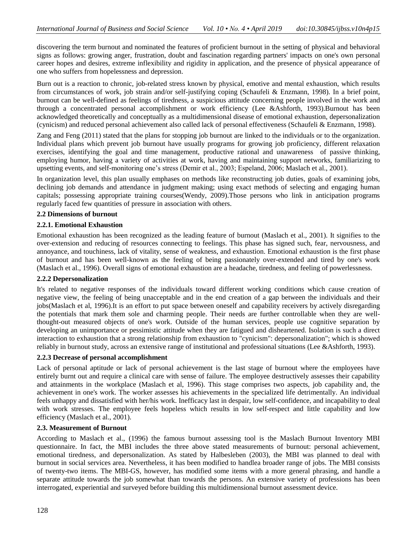discovering the term burnout and nominated the features of proficient burnout in the setting of physical and behavioral signs as follows: growing anger, frustration, doubt and fascination regarding partners' impacts on one's own personal career hopes and desires, extreme inflexibility and rigidity in application, and the presence of physical appearance of one who suffers from hopelessness and depression.

Burn out is a reaction to chronic, job-related stress known by physical, emotive and mental exhaustion, which results from circumstances of work, job strain and/or self-justifying coping (Schaufeli & Enzmann, 1998). In a brief point, burnout can be well-defined as feelings of tiredness, a suspicious attitude concerning people involved in the work and through a concentrated personal accomplishment or work efficiency (Lee &Ashforth, 1993).Burnout has been acknowledged theoretically and conceptually as a multidimensional disease of emotional exhaustion, depersonalization (cynicism) and reduced personal achievement also called lack of personal effectiveness (Schaufeli & Enzmann, 1998).

Zang and Feng (2011) stated that the plans for stopping job burnout are linked to the individuals or to the organization. Individual plans which prevent job burnout have usually programs for growing job proficiency, different relaxation exercises, identifying the goal and time management, productive rational and unawareness of passive thinking, employing humor, having a variety of activities at work, having and maintaining support networks, familiarizing to upsetting events, and self-monitoring one's stress (Demir et al., 2003; Espeland, 2006; Maslach et al., 2001).

In organization level, this plan usually emphases on methods like reconstructing job duties, goals of examining jobs, declining job demands and attendance in judgment making; using exact methods of selecting and engaging human capitals; possessing appropriate training courses(Wendy, 2009).Those persons who link in anticipation programs regularly faced few quantities of pressure in association with others.

### **2.2 Dimensions of burnout**

### **2.2.1. Emotional Exhaustion**

Emotional exhaustion has been recognized as the leading feature of burnout (Maslach et al., 2001). It signifies to the over-extension and reducing of resources connecting to feelings. This phase has signed such, fear, nervousness, and annoyance, and touchiness, lack of vitality, sense of weakness, and exhaustion. Emotional exhaustion is the first phase of burnout and has been well-known as the feeling of being passionately over-extended and tired by one's work (Maslach et al., 1996). Overall signs of emotional exhaustion are a headache, tiredness, and feeling of powerlessness.

### **2.2.2 Depersonalization**

It's related to negative responses of the individuals toward different working conditions which cause creation of negative view, the feeling of being unacceptable and in the end creation of a gap between the individuals and their jobs(Maslach et al, 1996).It is an effort to put space between oneself and capability receivers by actively disregarding the potentials that mark them sole and charming people. Their needs are further controllable when they are wellthought-out measured objects of one's work. Outside of the human services, people use cognitive separation by developing an unimportance or pessimistic attitude when they are fatigued and disheartened. Isolation is such a direct interaction to exhaustion that a strong relationship from exhaustion to "cynicism": depersonalization"; which is showed reliably in burnout study, across an extensive range of institutional and professional situations (Lee &Ashforth, 1993).

### **2.2.3 Decrease of personal accomplishment**

Lack of personal aptitude or lack of personal achievement is the last stage of burnout where the employees have entirely burnt out and require a clinical care with sense of failure. The employee destructively assesses their capability and attainments in the workplace (Maslach et al, 1996). This stage comprises two aspects, job capability and, the achievement in one's work. The worker assesses his achievements in the specialized life detrimentally. An individual feels unhappy and dissatisfied with her/his work. Inefficacy last in despair, low self-confidence, and incapability to deal with work stresses. The employee feels hopeless which results in low self-respect and little capability and low efficiency (Maslach et al., 2001).

### **2.3. Measurement of Burnout**

According to Maslach et al., (1996) the famous burnout assessing tool is the Maslach Burnout Inventory MBI questionnaire. In fact, the MBI includes the three above stated measurements of burnout: personal achievement, emotional tiredness, and depersonalization. As stated by Halbesleben (2003), the MBI was planned to deal with burnout in social services area. Nevertheless, it has been modified to handlea broader range of jobs. The MBI consists of twenty-two items. The MBI-GS, however, has modified some items with a more general phrasing, and handle a separate attitude towards the job somewhat than towards the persons. An extensive variety of professions has been interrogated, experiential and surveyed before building this multidimensional burnout assessment device.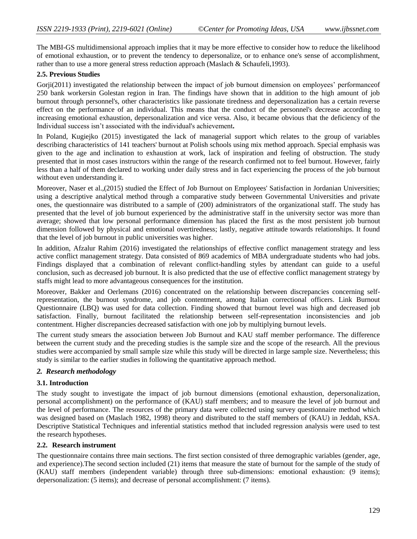The MBI-GS multidimensional approach implies that it may be more effective to consider how to reduce the likelihood of emotional exhaustion, or to prevent the tendency to depersonalize, or to enhance one's sense of accomplishment, rather than to use a more general stress reduction approach (Maslach & Schaufeli,1993).

# **2.5. Previous Studies**

Gorji(2011) investigated the relationship between the impact of job burnout dimension on employees' performance of 250 bank workersin Golestan region in Iran. The findings have shown that in addition to the high amount of job burnout through personnel's, other characteristics like passionate tiredness and depersonalization has a certain reverse effect on the performance of an individual. This means that the conduct of the personnel's decrease according to increasing emotional exhaustion, depersonalization and vice versa. Also, it became obvious that the deficiency of the Individual success isn"t associated with the individual's achievement**.**

In Poland, Kugiejko (2015) investigated the lack of managerial support which relates to the group of variables describing characteristics of 141 teachers' burnout at Polish schools using mix method approach. Special emphasis was given to the age and inclination to exhaustion at work, lack of inspiration and feeling of obstruction. The study presented that in most cases instructors within the range of the research confirmed not to feel burnout. However, fairly less than a half of them declared to working under daily stress and in fact experiencing the process of the job burnout without even understanding it.

Moreover, Naser et al.,(2015) studied the Effect of Job Burnout on Employees' Satisfaction in Jordanian Universities; using a descriptive analytical method through a comparative study between Governmental Universities and private ones, the questionnaire was distributed to a sample of (200) administrators of the organizational staff. The study has presented that the level of job burnout experienced by the administrative staff in the university sector was more than average; showed that low personal performance dimension has placed the first as the most persistent job burnout dimension followed by physical and emotional overtiredness; lastly, negative attitude towards relationships. It found that the level of job burnout in public universities was higher.

In addition, Afzalur Rahim (2016) investigated the relationships of effective conflict management strategy and less active conflict management strategy. Data consisted of 869 academics of MBA undergraduate students who had jobs. Findings displayed that a combination of relevant conflict-handling styles by attendant can guide to a useful conclusion, such as decreased job burnout. It is also predicted that the use of effective conflict management strategy by staffs might lead to more advantageous consequences for the institution.

Moreover, Bakker and Oerlemans (2016) concentrated on the relationship between discrepancies concerning selfrepresentation, the burnout syndrome, and job contentment, among Italian correctional officers. Link Burnout Questionnaire (LBQ) was used for data collection. Finding showed that burnout level was high and decreased job satisfaction. Finally, burnout facilitated the relationship between self-representation inconsistencies and job contentment. Higher discrepancies decreased satisfaction with one job by multiplying burnout levels.

The current study smears the association between Job Burnout and KAU staff member performance. The difference between the current study and the preceding studies is the sample size and the scope of the research. All the previous studies were accompanied by small sample size while this study will be directed in large sample size. Nevertheless; this study is similar to the earlier studies in following the quantitative approach method.

# *2. Research methodology*

### **3.1. Introduction**

The study sought to investigate the impact of job burnout dimensions (emotional exhaustion, depersonalization, personal accomplishment) on the performance of (KAU) staff members; and to measure the level of job burnout and the level of performance. The resources of the primary data were collected using survey questionnaire method which was designed based on (Maslach 1982, 1998) theory and distributed to the staff members of (KAU) in Jeddah, KSA. Descriptive Statistical Techniques and inferential statistics method that included regression analysis were used to test the research hypotheses.

### **2.2. Research instrument**

The questionnaire contains three main sections. The first section consisted of three demographic variables (gender, age, and experience).The second section included (21) items that measure the state of burnout for the sample of the study of (KAU) staff members (independent variable) through three sub-dimensions: emotional exhaustion: (9 items); depersonalization: (5 items); and decrease of personal accomplishment: (7 items).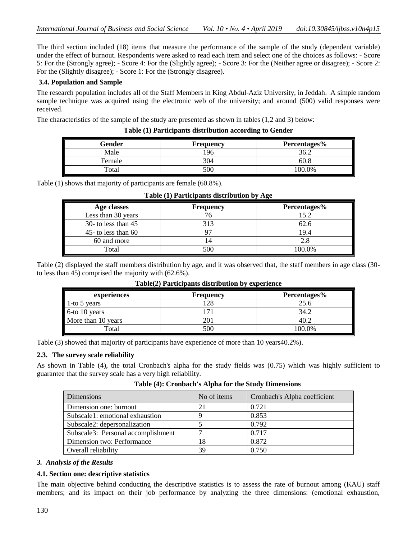The third section included (18) items that measure the performance of the sample of the study (dependent variable) under the effect of burnout. Respondents were asked to read each item and select one of the choices as follows: - Score 5: For the (Strongly agree); - Score 4: For the (Slightly agree); - Score 3: For the (Neither agree or disagree); - Score 2: For the (Slightly disagree); - Score 1: For the (Strongly disagree).

# **3.4. Population and Sample**

The research population includes all of the Staff Members in King Abdul-Aziz University, in Jeddah. A simple random sample technique was acquired using the electronic web of the university; and around (500) valid responses were received.

The characteristics of the sample of the study are presented as shown in tables (1,2 and 3) below:

|  | Table (1) Participants distribution according to Gender |
|--|---------------------------------------------------------|
|--|---------------------------------------------------------|

| Gender                 | <b>Frequency</b> | Percentages% |
|------------------------|------------------|--------------|
| Male                   | .96              | 36.2         |
| Female                 | 304              | 60.8         |
| $\tau$ <sub>otal</sub> | 500              | 100.0%       |

Table (1) shows that majority of participants are female (60.8%).

| Age classes           | <b>Frequency</b> | Percentages% |
|-----------------------|------------------|--------------|
| Less than 30 years    |                  | 15.2         |
| 30- to less than $45$ | 313              | 62.6         |
| 45- to less than $60$ |                  | 19.4         |
| 60 and more           | 14               | 2.8          |
| Total                 | 500              | 100.0%       |

### **Table (1) Participants distribution by Age**

Table (2) displayed the staff members distribution by age, and it was observed that, the staff members in age class (30 to less than 45) comprised the majority with (62.6%).

| experiences        | <b>Frequency</b> | Percentages% |
|--------------------|------------------|--------------|
| 1-to 5 years       | 128              | 25.6         |
| 6-to 10 years      |                  | 34.2         |
| More than 10 years |                  | 40.2         |
| Total              | 500              | 100.0%       |

# **Table(2) Participants distribution by experience**

Table (3) showed that majority of participants have experience of more than 10 years40.2%).

# **2.3. The survey scale reliability**

As shown in Table (4), the total Cronbach's alpha for the study fields was (0.75) which was highly sufficient to guarantee that the survey scale has a very high reliability.

| Dimensions                         | No of items | Cronbach's Alpha coefficient |
|------------------------------------|-------------|------------------------------|
| Dimension one: burnout             | 21          | 0.721                        |
| Subscale1: emotional exhaustion    |             | 0.853                        |
| Subscale2: depersonalization       |             | 0.792                        |
| Subscale3: Personal accomplishment |             | 0.717                        |
| Dimension two: Performance         | 18          | 0.872                        |
| Overall reliability                | 39          | 0.750                        |

### *3. Analysis of the Results*

# **4.1. Section one: descriptive statistics**

The main objective behind conducting the descriptive statistics is to assess the rate of burnout among (KAU) staff members; and its impact on their job performance by analyzing the three dimensions: (emotional exhaustion,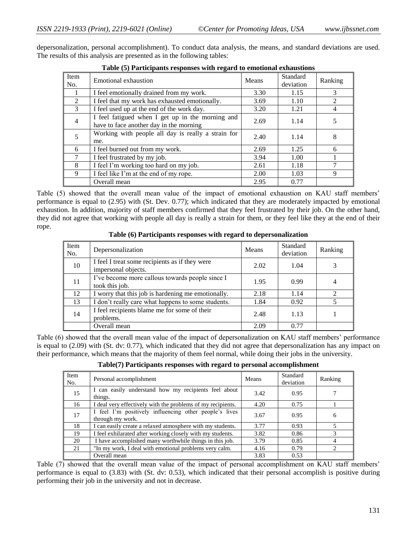depersonalization, personal accomplishment). To conduct data analysis, the means, and standard deviations are used. The results of this analysis are presented as in the following tables:

|                | Table (3) Farticipality responses with regard to emotional exhaustions                      |       |                              |                |  |
|----------------|---------------------------------------------------------------------------------------------|-------|------------------------------|----------------|--|
| Item<br>No.    | Emotional exhaustion                                                                        | Means | <b>Standard</b><br>deviation | Ranking        |  |
|                | I feel emotionally drained from my work.                                                    | 3.30  | 1.15                         | 3              |  |
| 2              | I feel that my work has exhausted emotionally.                                              | 3.69  | 1.10                         | 2              |  |
| 3              | I feel used up at the end of the work day.                                                  | 3.20  | 1.21                         | $\overline{4}$ |  |
| $\overline{4}$ | I feel fatigued when I get up in the morning and<br>have to face another day in the morning | 2.69  | 1.14                         | 5              |  |
| 5              | Working with people all day is really a strain for<br>me.                                   | 2.40  | 1.14                         | 8              |  |
| 6              | I feel burned out from my work.                                                             | 2.69  | 1.25                         | 6              |  |
| 7              | I feel frustrated by my job.                                                                | 3.94  | 1.00                         |                |  |
| 8              | I feel I'm working too hard on my job.                                                      | 2.61  | 1.18                         |                |  |
| 9              | I feel like I'm at the end of my rope.                                                      | 2.00  | 1.03                         | 9              |  |
|                | Overall mean                                                                                | 2.95  | 0.77                         |                |  |

| Table (5) Participants responses with regard to emotional exhaustions |
|-----------------------------------------------------------------------|
|-----------------------------------------------------------------------|

Table (5) showed that the overall mean value of the impact of emotional exhaustion on KAU staff members' performance is equal to (2.95) with (St. Dev. 0.77); which indicated that they are moderately impacted by emotional exhaustion. In addition, majority of staff members confirmed that they feel frustrated by their job. On the other hand, they did not agree that working with people all day is really a strain for them, or they feel like they at the end of their rope.

**Table (6) Participants responses with regard to depersonalization** 

| Item<br>No. | Depersonalization                                                     | Means | Standard<br>deviation | Ranking                  |
|-------------|-----------------------------------------------------------------------|-------|-----------------------|--------------------------|
| 10          | I feel I treat some recipients as if they were<br>impersonal objects. | 2.02  | 1.04                  |                          |
| 11          | I've become more callous towards people since I<br>took this job.     | 1.95  | 0.99                  | 4                        |
| 12          | I worry that this job is hardening me emotionally.                    | 2.18  | 1.14                  | 2                        |
| 13          | I don't really care what happens to some students.                    | 1.84  | 0.92                  | $\overline{\phantom{0}}$ |
| 14          | I feel recipients blame me for some of their<br>problems.             | 2.48  | 1.13                  |                          |
|             | Overall mean                                                          | 2.09  | 0.77                  |                          |

Table (6) showed that the overall mean value of the impact of depersonalization on KAU staff members" performance is equal to (2.09) with (St. dv: 0.77), which indicated that they did not agree that depersonalization has any impact on their performance, which means that the majority of them feel normal, while doing their jobs in the university.

| Item<br>No. | Personal accomplishment                                                    | Means | Standard<br>deviation | Ranking                     |
|-------------|----------------------------------------------------------------------------|-------|-----------------------|-----------------------------|
| 15          | I can easily understand how my recipients feel about<br>things.            | 3.42  | 0.95                  |                             |
| 16          | I deal very effectively with the problems of my recipients.                | 4.20  | 0.75                  |                             |
| 17          | I feel I'm positively influencing other people's lives<br>through my work. | 3.67  | 0.95                  | 6                           |
| 18          | I can easily create a relaxed atmosphere with my students.                 | 3.77  | 0.93                  |                             |
| 19          | I feel exhilarated after working closely with my students.                 | 3.82  | 0.86                  | 3                           |
| 20          | I have accomplished many worthwhile things in this job.                    | 3.79  | 0.85                  | $\overline{4}$              |
| 21          | "In my work, I deal with emotional problems very calm.                     | 4.16  | 0.79                  | $\mathcal{D}_{\mathcal{L}}$ |
|             | Overall mean                                                               | 3.83  | 0.53                  |                             |

**Table(7) Participants responses with regard to personal accomplishment**

Table (7) showed that the overall mean value of the impact of personal accomplishment on KAU staff members' performance is equal to (3.83) with (St. dv: 0.53), which indicated that their personal accomplish is positive during performing their job in the university and not in decrease.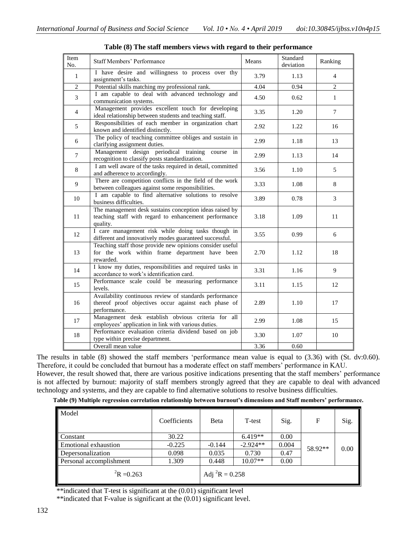| Item<br>No.    | <b>Staff Members' Performance</b>                                                                                               | Means | Standard<br>deviation | Ranking        |
|----------------|---------------------------------------------------------------------------------------------------------------------------------|-------|-----------------------|----------------|
| $\mathbf{1}$   | I have desire and willingness to process over thy<br>assignment's tasks.                                                        | 3.79  | 1.13                  | $\overline{4}$ |
| $\overline{2}$ | Potential skills matching my professional rank.                                                                                 | 4.04  | 0.94                  | $\overline{2}$ |
| 3              | I am capable to deal with advanced technology and<br>communication systems.                                                     | 4.50  | 0.62                  | $\mathbf{1}$   |
| $\overline{4}$ | Management provides excellent touch for developing<br>ideal relationship between students and teaching staff.                   | 3.35  | 1.20                  | $\tau$         |
| 5              | Responsibilities of each member in organization chart<br>known and identified distinctly.                                       | 2.92  | 1.22                  | 16             |
| 6              | The policy of teaching committee obliges and sustain in<br>clarifying assignment duties.                                        | 2.99  | 1.18                  | 13             |
| $\overline{7}$ | Management design periodical training<br>course<br>in<br>recognition to classify posts standardization.                         | 2.99  | 1.13                  | 14             |
| $\,8$          | I am well aware of the tasks required in detail, committed<br>and adherence to accordingly.                                     | 3.56  | 1.10                  | 5              |
| 9              | There are competition conflicts in the field of the work<br>between colleagues against some responsibilities.                   | 3.33  | 1.08                  | 8              |
| 10             | I am capable to find alternative solutions to resolve<br>business difficulties.                                                 | 3.89  | 0.78                  | 3              |
| 11             | The management desk sustains conception ideas raised by<br>teaching staff with regard to enhancement performance<br>quality.    | 3.18  | 1.09                  | 11             |
| 12             | I care management risk while doing tasks though in<br>different and innovatively modes guaranteed successful.                   | 3.55  | 0.99                  | 6              |
| 13             | Teaching staff those provide new opinions consider useful<br>for the work within frame department have been<br>rewarded.        | 2.70  | 1.12                  | 18             |
| 14             | I know my duties, responsibilities and required tasks in<br>accordance to work's identification card.                           | 3.31  | 1.16                  | 9              |
| 15             | Performance scale could be measuring performance<br>levels.                                                                     | 3.11  | 1.15                  | 12             |
| 16             | Availability continuous review of standards performance<br>thereof proof objectives occur against each phase of<br>performance. | 2.89  | 1.10                  | 17             |
| 17             | Management desk establish obvious criteria for all<br>employees' application in link with various duties.                       | 2.99  | 1.08                  | 15             |
| 18             | Performance evaluation criteria dividend based on job<br>type within precise department.                                        | 3.30  | 1.07                  | 10             |
|                | Overall mean value                                                                                                              | 3.36  | 0.60                  |                |

**Table (8) The staff members views with regard to their performance**

The results in table (8) showed the staff members "performance mean value is equal to (3.36) with (St. dv:0.60). Therefore, it could be concluded that burnout has a moderate effect on staff members' performance in KAU.

However, the result showed that, there are various positive indications presenting that the staff members" performance is not affected by burnout: majority of staff members strongly agreed that they are capable to deal with advanced technology and systems, and they are capable to find alternative solutions to resolve business difficulties.

**Table (9) Multiple regression correlation relationship between burnout's dimensions and Staff members' performance.**

| Model                   | Coefficients | <b>B</b> eta          | T-test     | Sig.  | F       | Sig. |
|-------------------------|--------------|-----------------------|------------|-------|---------|------|
| Constant                | 30.22        |                       | $6.419**$  | 0.00  |         | 0.00 |
| Emotional exhaustion    | $-0.225$     | $-0.144$              | $-2.924**$ | 0.004 | 58.92** |      |
| Depersonalization       | 0.098        | 0.035                 | 0.730      | 0.47  |         |      |
| Personal accomplishment | 1.309        | 0.448                 | $10.07**$  | 0.00  |         |      |
| ${}^{2}R = 0.263$       |              | Adj ${}^{2}R = 0.258$ |            |       |         |      |

\*\*indicated that T-test is significant at the (0.01) significant level

\*\*indicated that F-value is significant at the (0.01) significant level.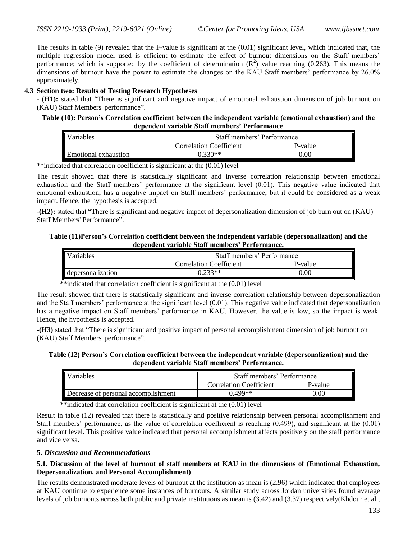The results in table (9) revealed that the F-value is significant at the (0.01) significant level, which indicated that, the multiple regression model used is efficient to estimate the effect of burnout dimensions on the Staff members' performance; which is supported by the coefficient of determination  $(R^2)$  value reaching (0.263). This means the dimensions of burnout have the power to estimate the changes on the KAU Staff members' performance by 26.0% approximately.

### **4.3 Section two: Results of Testing Research Hypotheses**

- (**H1):** stated that "There is significant and negative impact of emotional exhaustion dimension of job burnout on (KAU) Staff Members' performance".

### **Table (10): Person's Correlation coefficient between the independent variable (emotional exhaustion) and the dependent variable Staff members' Performance**

| Variables            | Staff members' Performance     |          |  |
|----------------------|--------------------------------|----------|--|
|                      | <b>Correlation Coefficient</b> | P-value  |  |
| Emotional exhaustion | $-0.330**$                     | $0.00\,$ |  |

\*\*indicated that correlation coefficient is significant at the (0.01) level

The result showed that there is statistically significant and inverse correlation relationship between emotional exhaustion and the Staff members' performance at the significant level (0.01). This negative value indicated that emotional exhaustion, has a negative impact on Staff members" performance, but it could be considered as a weak impact. Hence, the hypothesis is accepted.

**-(H2):** stated that "There is significant and negative impact of depersonalization dimension of job burn out on (KAU) Staff Members' Performance".

### **Table (11)Person's Correlation coefficient between the independent variable (depersonalization) and the dependent variable Staff members' Performance.**

| ╹<br>ariables     | Staff members' Performance     |         |  |
|-------------------|--------------------------------|---------|--|
|                   | <b>Correlation Coefficient</b> | P-value |  |
| depersonalization | $-0.233**$                     | 0.00    |  |

\*\*indicated that correlation coefficient is significant at the  $(0.01)$  level

The result showed that there is statistically significant and inverse correlation relationship between depersonalization and the Staff members' performance at the significant level (0.01). This negative value indicated that depersonalization has a negative impact on Staff members" performance in KAU. However, the value is low, so the impact is weak. Hence, the hypothesis is accepted.

**-(H3)** stated that "There is significant and positive impact of personal accomplishment dimension of job burnout on (KAU) Staff Members' performance".

**Table (12) Person's Correlation coefficient between the independent variable (depersonalization) and the dependent variable Staff members' Performance.**

| <sup>7</sup> ariables               | Staff members' Performance     |          |
|-------------------------------------|--------------------------------|----------|
|                                     | <b>Correlation Coefficient</b> | P-value  |
| Decrease of personal accomplishment | 1499**                         | $0.00\,$ |

\*\*indicated that correlation coefficient is significant at the (0.01) level

Result in table (12) revealed that there is statistically and positive relationship between personal accomplishment and Staff members' performance, as the value of correlation coefficient is reaching  $(0.499)$ , and significant at the  $(0.01)$ significant level. This positive value indicated that personal accomplishment affects positively on the staff performance and vice versa.

### **5.** *Discussion and Recommendations*

### **5.1. Discussion of the level of burnout of staff members at KAU in the dimensions of (Emotional Exhaustion, Depersonalization, and Personal Accomplishment)**

The results demonstrated moderate levels of burnout at the institution as mean is (2.96) which indicated that employees at KAU continue to experience some instances of burnouts. A similar study across Jordan universities found average levels of job burnouts across both public and private institutions as mean is (3.42) and (3.37) respectively(Khdour et al.,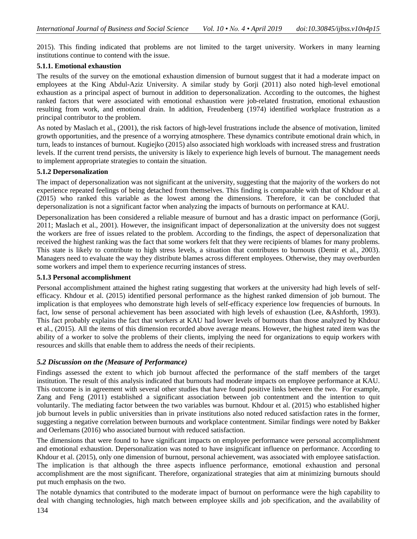2015). This finding indicated that problems are not limited to the target university. Workers in many learning institutions continue to contend with the issue.

### **5.1.1. Emotional exhaustion**

The results of the survey on the emotional exhaustion dimension of burnout suggest that it had a moderate impact on employees at the King Abdul-Aziz University. A similar study by Gorji (2011) also noted high-level emotional exhaustion as a principal aspect of burnout in addition to depersonalization. According to the outcomes, the highest ranked factors that were associated with emotional exhaustion were job-related frustration, emotional exhaustion resulting from work, and emotional drain. In addition, Freudenberg (1974) identified workplace frustration as a principal contributor to the problem.

As noted by Maslach et al., (2001), the risk factors of high-level frustrations include the absence of motivation, limited growth opportunities, and the presence of a worrying atmosphere. These dynamics contribute emotional drain which, in turn, leads to instances of burnout. Kugiejko (2015) also associated high workloads with increased stress and frustration levels. If the current trend persists, the university is likely to experience high levels of burnout. The management needs to implement appropriate strategies to contain the situation.

### **5.1.2 Depersonalization**

The impact of depersonalization was not significant at the university, suggesting that the majority of the workers do not experience repeated feelings of being detached from themselves. This finding is comparable with that of Khdour et al. (2015) who ranked this variable as the lowest among the dimensions. Therefore, it can be concluded that depersonalization is not a significant factor when analyzing the impacts of burnouts on performance at KAU.

Depersonalization has been considered a reliable measure of burnout and has a drastic impact on performance (Gorji, 2011; Maslach et al., 2001). However, the insignificant impact of depersonalization at the university does not suggest the workers are free of issues related to the problem. According to the findings, the aspect of depersonalization that received the highest ranking was the fact that some workers felt that they were recipients of blames for many problems. This state is likely to contribute to high stress levels, a situation that contributes to burnouts (Demir et al., 2003). Managers need to evaluate the way they distribute blames across different employees. Otherwise, they may overburden some workers and impel them to experience recurring instances of stress.

### **5.1.3 Personal accomplishment**

Personal accomplishment attained the highest rating suggesting that workers at the university had high levels of selfefficacy. Khdour et al. (2015) identified personal performance as the highest ranked dimension of job burnout. The implication is that employees who demonstrate high levels of self-efficacy experience low frequencies of burnouts. In fact, low sense of personal achievement has been associated with high levels of exhaustion (Lee, &Ashforth, 1993). This fact probably explains the fact that workers at KAU had lower levels of burnouts than those analyzed by Khdour et al., (2015). All the items of this dimension recorded above average means. However, the highest rated item was the ability of a worker to solve the problems of their clients, implying the need for organizations to equip workers with resources and skills that enable them to address the needs of their recipients.

# *5.2 Discussion on the (Measure of Performance)*

Findings assessed the extent to which job burnout affected the performance of the staff members of the target institution. The result of this analysis indicated that burnouts had moderate impacts on employee performance at KAU. This outcome is in agreement with several other studies that have found positive links between the two. For example, Zang and Feng (2011) established a significant association between job contentment and the intention to quit voluntarily. The mediating factor between the two variables was burnout. Khdour et al. (2015) who established higher job burnout levels in public universities than in private institutions also noted reduced satisfaction rates in the former, suggesting a negative correlation between burnouts and workplace contentment. Similar findings were noted by Bakker and Oerlemans (2016) who associated burnout with reduced satisfaction.

The dimensions that were found to have significant impacts on employee performance were personal accomplishment and emotional exhaustion. Depersonalization was noted to have insignificant influence on performance. According to Khdour et al. (2015), only one dimension of burnout, personal achievement, was associated with employee satisfaction. The implication is that although the three aspects influence performance, emotional exhaustion and personal accomplishment are the most significant. Therefore, organizational strategies that aim at minimizing burnouts should put much emphasis on the two.

The notable dynamics that contributed to the moderate impact of burnout on performance were the high capability to deal with changing technologies, high match between employee skills and job specification, and the availability of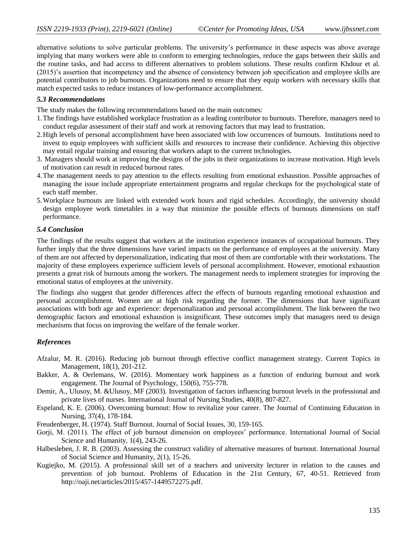alternative solutions to solve particular problems. The university"s performance in these aspects was above average implying that many workers were able to conform to emerging technologies, reduce the gaps between their skills and the routine tasks, and had access to different alternatives to problem solutions. These results confirm Khdour et al. (2015)"s assertion that incompetency and the absence of consistency between job specification and employee skills are potential contributors to job burnouts. Organizations need to ensure that they equip workers with necessary skills that match expected tasks to reduce instances of low-performance accomplishment.

### *5.3 Recommendations*

The study makes the following recommendations based on the main outcomes:

- 1.The findings have established workplace frustration as a leading contributor to burnouts. Therefore, managers need to conduct regular assessment of their staff and work at removing factors that may lead to frustration.
- 2.High levels of personal accomplishment have been associated with low occurrences of burnouts. Institutions need to invest to equip employees with sufficient skills and resources to increase their confidence. Achieving this objective may entail regular training and ensuring that workers adapt to the current technologies.
- 3. Managers should work at improving the designs of the jobs in their organizations to increase motivation. High levels of motivation can result in reduced burnout rates.
- 4.The management needs to pay attention to the effects resulting from emotional exhaustion. Possible approaches of managing the issue include appropriate entertainment programs and regular checkups for the psychological state of each staff member.
- 5.Workplace burnouts are linked with extended work hours and rigid schedules. Accordingly, the university should design employee work timetables in a way that minimize the possible effects of burnouts dimensions on staff performance.

### *5.4 Conclusion*

The findings of the results suggest that workers at the institution experience instances of occupational burnouts. They further imply that the three dimensions have varied impacts on the performance of employees at the university. Many of them are not affected by depersonalization, indicating that most of them are comfortable with their workstations. The majority of these employees experience sufficient levels of personal accomplishment. However, emotional exhaustion presents a great risk of burnouts among the workers. The management needs to implement strategies for improving the emotional status of employees at the university.

The findings also suggest that gender differences affect the effects of burnouts regarding emotional exhaustion and personal accomplishment. Women are at high risk regarding the former. The dimensions that have significant associations with both age and experience: depersonalization and personal accomplishment. The link between the two demographic factors and emotional exhaustion is insignificant. These outcomes imply that managers need to design mechanisms that focus on improving the welfare of the female worker.

# *References*

- Afzalur, M. R. (2016). Reducing job burnout through effective conflict management strategy. Current Topics in Management, 18(1), 201-212.
- Bakker, A. & Oerlemans, W. (2016). Momentary work happiness as a function of enduring burnout and work engagement. The Journal of Psychology, 150(6), 755-778.
- Demir, A., Ulusoy, M. &Ulusoy, MF (2003). Investigation of factors influencing burnout levels in the professional and private lives of nurses. International Journal of Nursing Studies, 40(8), 807-827.
- Espeland, K. E. (2006). Overcoming burnout: How to revitalize your career. The Journal of Continuing Education in Nursing, 37(4), 178-184.
- Freudenberger, H. (1974). Staff Burnout. Journal of Social Issues, 30, 159-165.
- Gorji, M. (2011). The effect of job burnout dimension on employees' performance. International Journal of Social Science and Humanity, 1(4), 243-26.
- Halbesleben, J. R. B. (2003). Assessing the construct validity of alternative measures of burnout. International Journal of Social Science and Humanity, 2(1), 15-26.
- Kugiejko, M. (2015). A professional skill set of a teachers and university lecturer in relation to the causes and prevention of job burnout. Problems of Education in the 21st Century, 67, 40-51. Retrieved from http://oaji.net/articles/2015/457-1449572275.pdf.